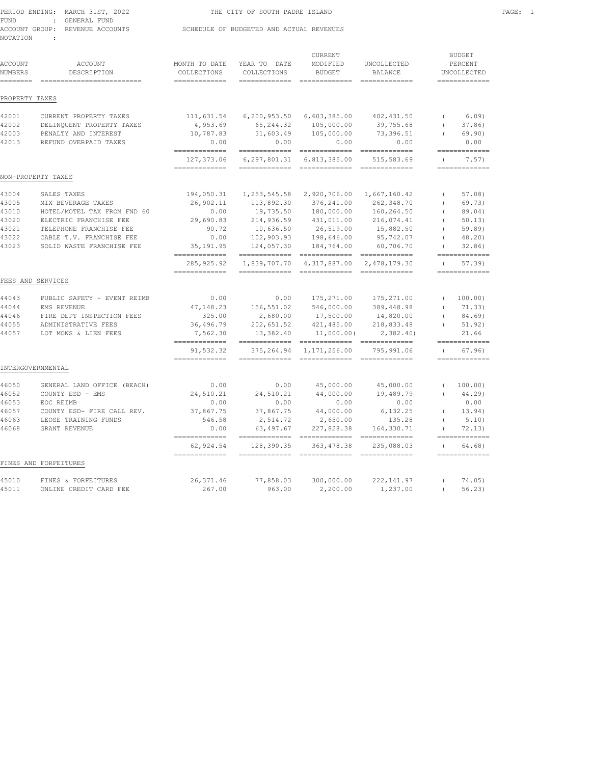|          | PERIOD ENDING: MARCH 31ST, 2022 | THE CITY OF SOUTH PADRE ISLAND           | PAGE: |
|----------|---------------------------------|------------------------------------------|-------|
| FUND     | : GENERAL FUND                  |                                          |       |
|          | ACCOUNT GROUP: REVENUE ACCOUNTS | SCHEDULE OF BUDGETED AND ACTUAL REVENUES |       |
| NOTATION |                                 |                                          |       |

| ACCOUNT<br>NUMBERS<br>======== | <b>ACCOUNT</b><br>DESCRIPTION<br>=========================== | MONTH TO DATE<br>COLLECTIONS<br>$=$ = = = = = = = = = = = = = | YEAR TO DATE<br>COLLECTIONS<br>============= | <b>CURRENT</b><br>MODIFIED<br><b>BUDGET</b> | UNCOLLECTED<br><b>BALANCE</b><br>$=$ = = = = = = = = = = = = = |                  | <b>BUDGET</b><br>PERCENT<br>UNCOLLECTED<br>============= |
|--------------------------------|--------------------------------------------------------------|---------------------------------------------------------------|----------------------------------------------|---------------------------------------------|----------------------------------------------------------------|------------------|----------------------------------------------------------|
| PROPERTY TAXES                 |                                                              |                                                               |                                              |                                             |                                                                |                  |                                                          |
| 42001                          | CURRENT PROPERTY TAXES                                       | 111,631.54                                                    | 6,200,953.50                                 | 6,603,385.00                                | 402, 431.50                                                    | $\left($         | 6.09                                                     |
| 42002                          | DELINQUENT PROPERTY TAXES                                    | 4,953.69                                                      | 65,244.32                                    | 105,000.00                                  | 39,755.68                                                      | $\left($         | 37.86                                                    |
| 42003                          | PENALTY AND INTEREST                                         | 10,787.83                                                     | 31,603.49                                    | 105,000.00                                  | 73,396.51                                                      | $\left($         | 69.90)                                                   |
| 42013                          | REFUND OVERPAID TAXES                                        | 0.00<br>$=$ = = = = = = = = = = = = =                         | 0.00<br>=============                        | 0.00<br>$=$ =============                   | 0.00<br>$=$ =============                                      |                  | 0.00<br>=============                                    |
|                                |                                                              | 127,373.06                                                    | 6,297,801.31                                 | 6,813,385.00                                | 515, 583.69                                                    | $\left($         | 7.57)                                                    |
|                                | NON-PROPERTY TAXES                                           | $=$ = = = = = = = = = = = = =                                 | $=$ = = = = = = = = = = = = =                | $=$ =============                           | $=$ =============                                              |                  | =============                                            |
|                                |                                                              |                                                               |                                              |                                             |                                                                |                  |                                                          |
| 43004                          | SALES TAXES                                                  | 194,050.31                                                    | 1,253,545.58                                 | 2,920,706.00                                | 1,667,160.42                                                   | $\overline{(\ }$ | 57.08                                                    |
| 43005                          | MIX BEVERAGE TAXES                                           | 26,902.11                                                     | 113,892.30                                   | 376,241.00                                  | 262,348.70                                                     | $\left($         | 69.73)                                                   |
| 43010                          | HOTEL/MOTEL TAX FROM FND 60                                  | 0.00                                                          | 19,735.50                                    | 180,000.00                                  | 160,264.50                                                     | $\left($         | 89.04)                                                   |
| 43020                          | ELECTRIC FRANCHISE FEE                                       | 29,690.83                                                     | 214,936.59                                   | 431,011.00                                  | 216,074.41                                                     | $\left($         | 50.13)                                                   |
| 43021                          | TELEPHONE FRANCHISE FEE                                      | 90.72                                                         | 10,636.50                                    | 26,519.00                                   | 15,882.50                                                      |                  | 59.89)                                                   |
| 43022                          | CABLE T.V. FRANCHISE FEE                                     | 0.00                                                          | 102,903.93                                   | 198,646.00                                  | 95,742.07                                                      |                  | $48.20$ )                                                |
| 43023                          | SOLID WASTE FRANCHISE FEE                                    | 35, 191.95<br>=============                                   | 124,057.30                                   | 184,764.00<br>------------- -------------   | 60,706.70<br>$=$ ==============                                | $\left($         | 32.86<br>=============                                   |
|                                |                                                              | 285, 925.92                                                   | 1,839,707.70                                 | 4,317,887.00                                | 2,478,179.30                                                   | $\left($         | 57.39                                                    |
|                                |                                                              | $=$ = = = = = = = = = = = = =                                 | =============                                | =============                               | =============                                                  |                  | =============                                            |
|                                | FEES AND SERVICES                                            |                                                               |                                              |                                             |                                                                |                  |                                                          |
| 44043                          | PUBLIC SAFETY - EVENT REIMB                                  | 0.00                                                          | 0.00                                         | 175, 271.00                                 | 175,271.00                                                     | $\left($         | 100.00)                                                  |
| 44044                          | EMS REVENUE                                                  | 47,148.23                                                     | 156,551.02                                   | 546,000.00                                  | 389,448.98                                                     | $\left($         | 71.33)                                                   |
| 44046                          | FIRE DEPT INSPECTION FEES                                    | 325.00                                                        | 2,680.00                                     | 17,500.00                                   | 14,820.00                                                      | $\left($         | 84.69)                                                   |
| 44055                          | ADMINISTRATIVE FEES                                          | 36,496.79                                                     | 202,651.52                                   | 421,485.00                                  | 218,833.48                                                     | $\left($         | 51.92)                                                   |
| 44057                          | LOT MOWS & LIEN FEES                                         | 7,562.30<br>=============                                     | 13,382.40<br>=============                   | 11,000.00(<br>============================  | 2,382,40                                                       |                  | 21.66<br>$=$ = = = = = = = = = = = = =                   |
|                                |                                                              | 91,532.32<br>=============                                    | 375, 264.94<br>=============                 | 1,171,256.00<br>=============               | 795,991.06<br>=============                                    | $\left($         | 67.96<br>$=$ =============                               |
|                                | INTERGOVERNMENTAL                                            |                                                               |                                              |                                             |                                                                |                  |                                                          |
| 46050                          | GENERAL LAND OFFICE (BEACH)                                  | 0.00                                                          | 0.00                                         | 45,000.00                                   | 45,000.00                                                      | $\overline{(\ }$ | 100.00)                                                  |
| 46052                          | COUNTY ESD - EMS                                             | 24,510.21                                                     | 24,510.21                                    | 44,000.00                                   | 19,489.79                                                      | $\left($         | 44.29)                                                   |
| 46053                          | EOC REIMB                                                    | 0.00                                                          | 0.00                                         | 0.00                                        | 0.00                                                           |                  | 0.00                                                     |
| 46057                          | COUNTY ESD- FIRE CALL REV.                                   | 37,867.75                                                     | 37,867.75                                    | 44,000.00                                   | 6,132.25                                                       | $\overline{(\ }$ | 13.94)                                                   |
| 46063                          | LEOSE TRAINING FUNDS                                         | 546.58                                                        | 2,514.72                                     | 2,650.00                                    | 135.28                                                         |                  | 5.10                                                     |
| 46068                          | GRANT REVENUE                                                | 0.00                                                          | 63, 497.67                                   | 227,828.38                                  | 164,330.71                                                     |                  | 72.13)                                                   |
|                                |                                                              | $=$ = = = = = = = = = = = = =<br>62,924.54                    | 128,390.35                                   | 363, 478.38                                 | 235,088.03                                                     | $\left($         | =============<br>64.68)                                  |
|                                | FINES AND FORFEITURES                                        | $=$ = = = = = = = = = = = = =                                 |                                              |                                             |                                                                |                  | $=$ =============                                        |
|                                |                                                              |                                                               |                                              |                                             |                                                                |                  |                                                          |

45010 FINES & FORFEITURES 26,371.46 77,858.03 300,000.00 222,141.97 ( 74.05) 45011 ONLINE CREDIT CARD FEE 267.00 963.00 2,200.00 1,237.00 ( 56.23)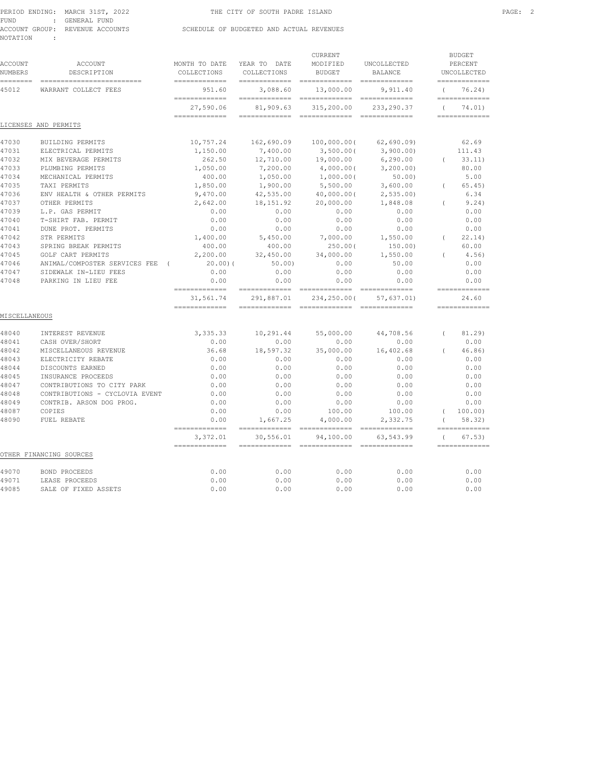|          | PERIOD ENDING: MARCH 31ST, 2022 | THE CITY OF SOUTH PADRE ISLAND           | PAGE: 2 |  |
|----------|---------------------------------|------------------------------------------|---------|--|
| FUND     | : GENERAL FUND                  |                                          |         |  |
|          | ACCOUNT GROUP: REVENUE ACCOUNTS | SCHEDULE OF BUDGETED AND ACTUAL REVENUES |         |  |
| NOTATION |                                 |                                          |         |  |

| ACCOUNT<br>NUMBERS<br>======== | <b>ACCOUNT</b><br>DESCRIPTION<br>-------------------------- | MONTH TO DATE<br>COLLECTIONS<br>============= | YEAR TO DATE<br>COLLECTIONS<br>============= | CURRENT<br>MODIFIED<br><b>BUDGET</b><br>$=$ ============= | UNCOLLECTED<br><b>BALANCE</b><br>=============                |          | <b>BUDGET</b><br>PERCENT<br>UNCOLLECTED<br>============= |
|--------------------------------|-------------------------------------------------------------|-----------------------------------------------|----------------------------------------------|-----------------------------------------------------------|---------------------------------------------------------------|----------|----------------------------------------------------------|
| 45012                          | WARRANT COLLECT FEES                                        | 951.60                                        | 3,088.60                                     | 13,000.00                                                 | 9.911.40                                                      | $\left($ | 76.24)                                                   |
|                                |                                                             | =============<br>27,590.06                    | $=$ = = = = = = = = = = = = =<br>81,909.63   | =============<br>315,200.00                               | $=$ = = = = = = = = = = = = =<br>233, 290.37                  | $\left($ | =============<br>74.01)                                  |
|                                | LICENSES AND PERMITS                                        | =============                                 | $=$ = = = = = = = = = = = = =                | =============                                             | =============                                                 |          | =============                                            |
| 47030                          | BUILDING PERMITS                                            | 10,757.24                                     | 162,690.09                                   | $100,000.00$ (                                            | 62,690.09                                                     |          | 62.69                                                    |
| 47031                          | ELECTRICAL PERMITS                                          | 1,150.00                                      | 7,400.00                                     | 3,500.00(                                                 | 3,900.00)                                                     |          | 111.43                                                   |
| 47032                          | MIX BEVERAGE PERMITS                                        | 262.50                                        | 12,710.00                                    | 19,000.00                                                 | 6, 290.00                                                     | $\left($ | 33.11)                                                   |
| 47033                          | PLUMBING PERMITS                                            | 1,050.00                                      | 7,200.00                                     | 4,000.00(                                                 | 3, 200, 00)                                                   |          | 80.00                                                    |
| 47034                          | MECHANICAL PERMITS                                          | 400.00                                        | 1,050.00                                     | 1,000.00(                                                 | 50.00                                                         |          | 5.00                                                     |
| 47035                          | TAXI PERMITS                                                | 1,850.00                                      | 1,900.00                                     | 5,500.00                                                  | 3,600.00                                                      | $\left($ | 65.45)                                                   |
| 47036                          | ENV HEALTH & OTHER PERMITS                                  | 9,470.00                                      | 42,535.00                                    | 40,000.00(                                                | 2,535.00                                                      |          | 6.34                                                     |
| 47037                          | OTHER PERMITS                                               | 2,642.00                                      | 18, 151.92                                   | 20,000.00                                                 | 1,848.08                                                      | $\left($ | 9.24)                                                    |
| 47039                          | L.P. GAS PERMIT                                             | 0.00                                          | 0.00                                         | 0.00                                                      | 0.00                                                          |          | 0.00                                                     |
| 47040                          | T-SHIRT FAB. PERMIT                                         | 0.00                                          | 0.00                                         | 0.00                                                      | 0.00                                                          |          | 0.00                                                     |
| 47041                          | DUNE PROT. PERMITS                                          | 0.00                                          | 0.00                                         | 0.00                                                      | 0.00                                                          |          | 0.00                                                     |
| 47042                          | STR PERMITS                                                 | 1,400.00                                      | 5,450.00                                     | 7,000.00                                                  | 1,550.00                                                      | $\left($ | 22.14                                                    |
| 47043                          | SPRING BREAK PERMITS                                        | 400.00                                        | 400.00                                       | 250.00(                                                   | 150.00)                                                       |          | 60.00                                                    |
| 47045                          | GOLF CART PERMITS                                           | 2,200.00                                      | 32,450.00                                    | 34,000.00                                                 | 1,550.00                                                      | $\left($ | 4.56)                                                    |
| 47046                          | ANIMAL/COMPOSTER SERVICES FEE<br>$\sqrt{ }$                 | 20.00(                                        | 50.00                                        | 0.00                                                      | 50.00                                                         |          | 0.00                                                     |
| 47047                          | SIDEWALK IN-LIEU FEES                                       | 0.00                                          | 0.00                                         | 0.00                                                      | 0.00                                                          |          | 0.00                                                     |
| 47048                          | PARKING IN LIEU FEE                                         | 0.00                                          | 0.00                                         | 0.00                                                      | 0.00                                                          |          | 0.00                                                     |
|                                |                                                             | =============<br>31,561.74<br>=============   | $=$ = = = = = = = = = = = = =<br>291,887.01  | $=$ ==============<br>234,250.00(<br>==============       | $=$ = = = = = = = = = = = = =<br>57,637.01)<br>============== |          | =============<br>24.60<br>=============                  |
| MISCELLANEOUS                  |                                                             |                                               |                                              |                                                           |                                                               |          |                                                          |
| 48040                          | INTEREST REVENUE                                            | 3,335.33                                      | 10,291.44                                    | 55,000.00                                                 | 44,708.56                                                     | $\left($ | 81.29)                                                   |
| 48041                          | CASH OVER/SHORT                                             | 0.00                                          | 0.00                                         | 0.00                                                      | 0.00                                                          |          | 0.00                                                     |
| 48042                          | MISCELLANEOUS REVENUE                                       | 36.68                                         | 18,597.32                                    | 35,000.00                                                 | 16,402.68                                                     | $\left($ | 46.86                                                    |
| 48043                          | ELECTRICITY REBATE                                          | 0.00                                          | 0.00                                         | 0.00                                                      | 0.00                                                          |          | 0.00                                                     |
| 48044                          | DISCOUNTS EARNED                                            | 0.00                                          | 0.00                                         | 0.00                                                      | 0.00                                                          |          | 0.00                                                     |
| 48045                          | INSURANCE PROCEEDS                                          | 0.00                                          | 0.00                                         | 0.00                                                      | 0.00                                                          |          | 0.00                                                     |
| 48047                          | CONTRIBUTIONS TO CITY PARK                                  | 0.00                                          | 0.00                                         | 0.00                                                      | 0.00                                                          |          | 0.00                                                     |
| 48048                          | CONTRIBUTIONS - CYCLOVIA EVENT                              | 0.00                                          | 0.00                                         | 0.00                                                      | 0.00                                                          |          | 0.00                                                     |
| 48049                          | CONTRIB. ARSON DOG PROG.                                    | 0.00                                          | 0.00                                         | 0.00                                                      | 0.00                                                          |          | 0.00                                                     |
| 48087                          | COPIES                                                      | 0.00                                          | 0.00                                         | 100.00                                                    | 100.00                                                        | $\left($ | 100.00)                                                  |
| 48090                          | FUEL REBATE                                                 | 0.00<br>=============                         | 1,667.25                                     | 4,000.00<br>==============                                | 2,332.75<br>$=$ = = = = = = = = = = = = =                     | $\left($ | 58.32<br>=============                                   |
|                                |                                                             | 3,372.01<br>$=$ = = = = = = = = = = = = =     | 30,556.01<br>$=$ = = = = = = = = = = = = =   | 94,100.00<br>=============                                | 63,543.99<br>=============                                    | $\left($ | 67.53)<br>=============                                  |
|                                | OTHER FINANCING SOURCES                                     |                                               |                                              |                                                           |                                                               |          |                                                          |
| 49070                          | <b>BOND PROCEEDS</b>                                        | 0.00                                          | 0.00                                         | 0.00                                                      | 0.00                                                          |          | 0.00                                                     |
| 49071                          | LEASE PROCEEDS                                              | 0.00                                          | 0.00                                         | 0.00                                                      | 0.00                                                          |          | 0.00                                                     |
| 49085                          | SALE OF FIXED ASSETS                                        | 0.00                                          | 0.00                                         | 0.00                                                      | 0.00                                                          |          | 0.00                                                     |